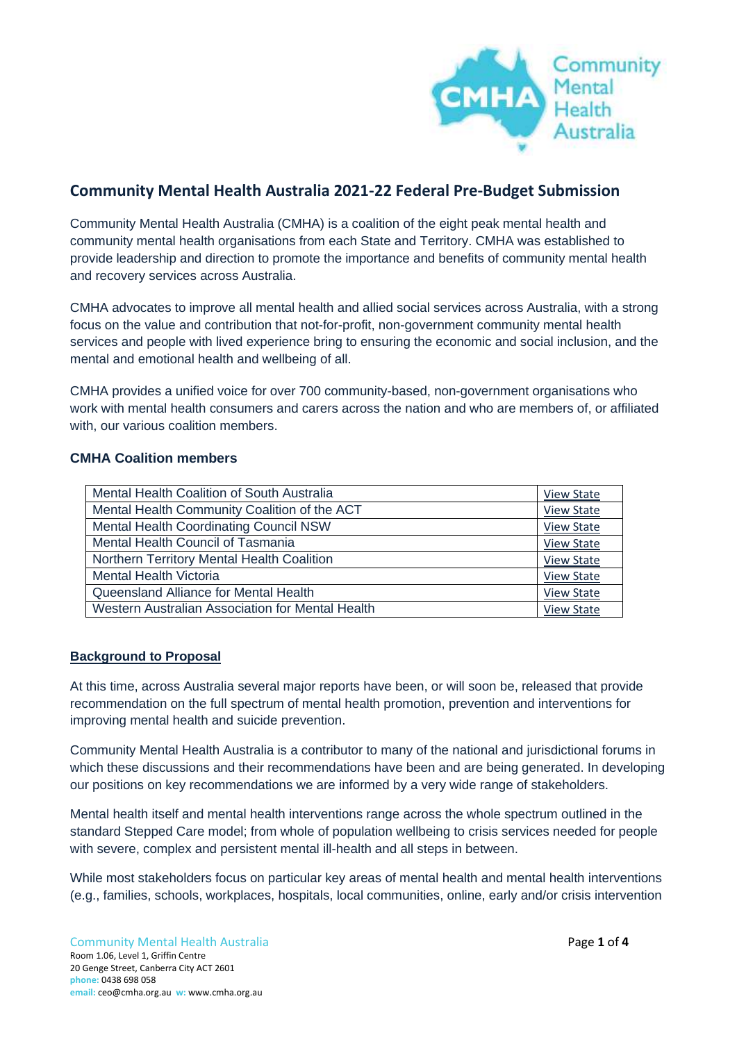

# **Community Mental Health Australia 2021-22 Federal Pre-Budget Submission**

Community Mental Health Australia (CMHA) is a coalition of the eight peak mental health and community mental health organisations from each State and Territory. CMHA was established to provide leadership and direction to promote the importance and benefits of community mental health and recovery services across Australia.

CMHA advocates to improve all mental health and allied social services across Australia, with a strong focus on the value and contribution that not-for-profit, non-government community mental health services and people with lived experience bring to ensuring the economic and social inclusion, and the mental and emotional health and wellbeing of all.

CMHA provides a unified voice for over 700 community-based, non-government organisations who work with mental health consumers and carers across the nation and who are members of, or affiliated with, our various coalition members.

# **CMHA Coalition members**

| Mental Health Coalition of South Australia       | <b>View State</b> |
|--------------------------------------------------|-------------------|
| Mental Health Community Coalition of the ACT     | View State        |
| Mental Health Coordinating Council NSW           | <b>View State</b> |
| Mental Health Council of Tasmania                | <b>View State</b> |
| Northern Territory Mental Health Coalition       | View State        |
| <b>Mental Health Victoria</b>                    | <b>View State</b> |
| Queensland Alliance for Mental Health            | <b>View State</b> |
| Western Australian Association for Mental Health | <b>View State</b> |

# **Background to Proposal**

At this time, across Australia several major reports have been, or will soon be, released that provide recommendation on the full spectrum of mental health promotion, prevention and interventions for improving mental health and suicide prevention.

Community Mental Health Australia is a contributor to many of the national and jurisdictional forums in which these discussions and their recommendations have been and are being generated. In developing our positions on key recommendations we are informed by a very wide range of stakeholders.

Mental health itself and mental health interventions range across the whole spectrum outlined in the standard Stepped Care model; from whole of population wellbeing to crisis services needed for people with severe, complex and persistent mental ill-health and all steps in between.

While most stakeholders focus on particular key areas of mental health and mental health interventions (e.g., families, schools, workplaces, hospitals, local communities, online, early and/or crisis intervention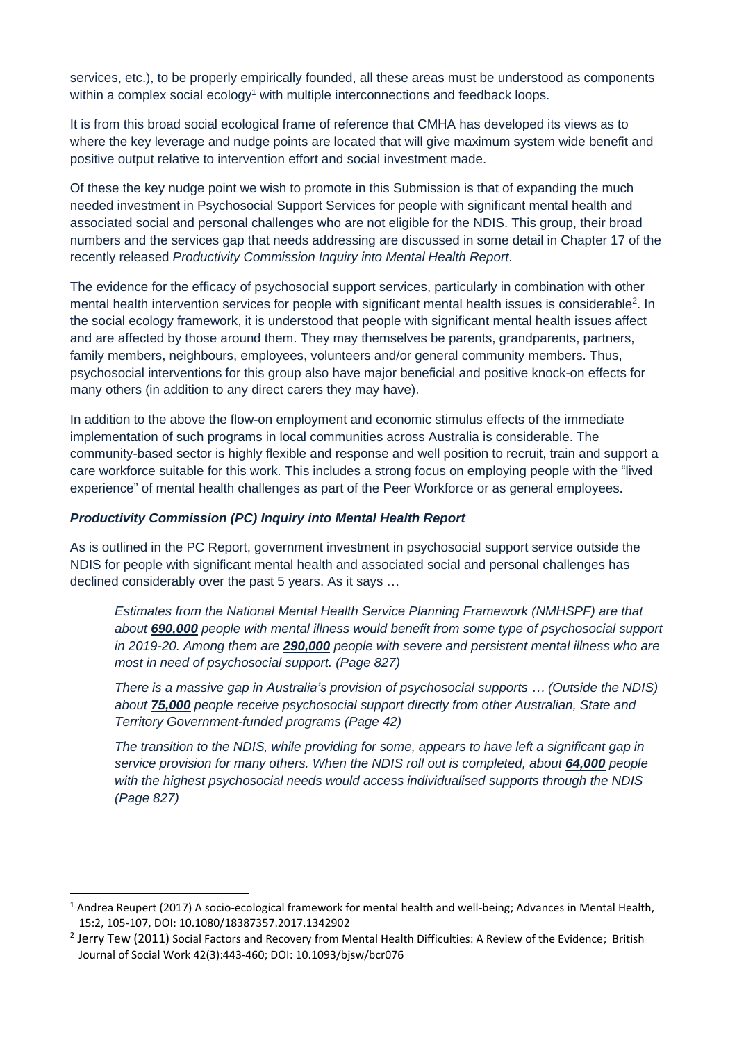services, etc.), to be properly empirically founded, all these areas must be understood as components within a complex social ecology<sup>1</sup> with multiple interconnections and feedback loops.

It is from this broad social ecological frame of reference that CMHA has developed its views as to where the key leverage and nudge points are located that will give maximum system wide benefit and positive output relative to intervention effort and social investment made.

Of these the key nudge point we wish to promote in this Submission is that of expanding the much needed investment in Psychosocial Support Services for people with significant mental health and associated social and personal challenges who are not eligible for the NDIS. This group, their broad numbers and the services gap that needs addressing are discussed in some detail in Chapter 17 of the recently released *Productivity Commission Inquiry into Mental Health Report*.

The evidence for the efficacy of psychosocial support services, particularly in combination with other mental health intervention services for people with significant mental health issues is considerable<sup>2</sup>. In the social ecology framework, it is understood that people with significant mental health issues affect and are affected by those around them. They may themselves be parents, grandparents, partners, family members, neighbours, employees, volunteers and/or general community members. Thus, psychosocial interventions for this group also have major beneficial and positive knock-on effects for many others (in addition to any direct carers they may have).

In addition to the above the flow-on employment and economic stimulus effects of the immediate implementation of such programs in local communities across Australia is considerable. The community-based sector is highly flexible and response and well position to recruit, train and support a care workforce suitable for this work. This includes a strong focus on employing people with the "lived experience" of mental health challenges as part of the Peer Workforce or as general employees.

#### *Productivity Commission (PC) Inquiry into Mental Health Report*

As is outlined in the PC Report, government investment in psychosocial support service outside the NDIS for people with significant mental health and associated social and personal challenges has declined considerably over the past 5 years. As it says …

*Estimates from the National Mental Health Service Planning Framework (NMHSPF) are that about 690,000 people with mental illness would benefit from some type of psychosocial support in 2019-20. Among them are 290,000 people with severe and persistent mental illness who are most in need of psychosocial support. (Page 827)*

*There is a massive gap in Australia's provision of psychosocial supports … (Outside the NDIS) about 75,000 people receive psychosocial support directly from other Australian, State and Territory Government-funded programs (Page 42)*

*The transition to the NDIS, while providing for some, appears to have left a significant gap in service provision for many others. When the NDIS roll out is completed, about 64,000 people with the highest psychosocial needs would access individualised supports through the NDIS (Page 827)*

 $1$  Andrea Reupert (2017) A socio-ecological framework for mental health and well-being; Advances in Mental Health, 15:2, 105-107, DOI: 10.1080/18387357.2017.1342902

 $^2$  Jerry Tew (2011) Social Factors and Recovery from Mental Health Difficulties: A Review of the Evidence; British Journal of Social Work 42(3):443-460; DOI: [10.1093/bjsw/bcr076](https://www.researchgate.net/deref/http%3A%2F%2Fdx.doi.org%2F10.1093%2Fbjsw%2Fbcr076?_sg%5B0%5D=YxcmxztYCFV0cIOqjJdUJjpinga6wCc3H9ZRpqITJExp2oxROum26HlSfld1TiutxX81iSsCxTbBO2JlXy2frZgjnw.mJ0deCr7VlEeUYaiHH1TvfW6v0oRGdh3VgtHlAoQ77o28P2-u1tyajyGW1gJ_hDBS27vlqmKXkINSCjBZr0QRg)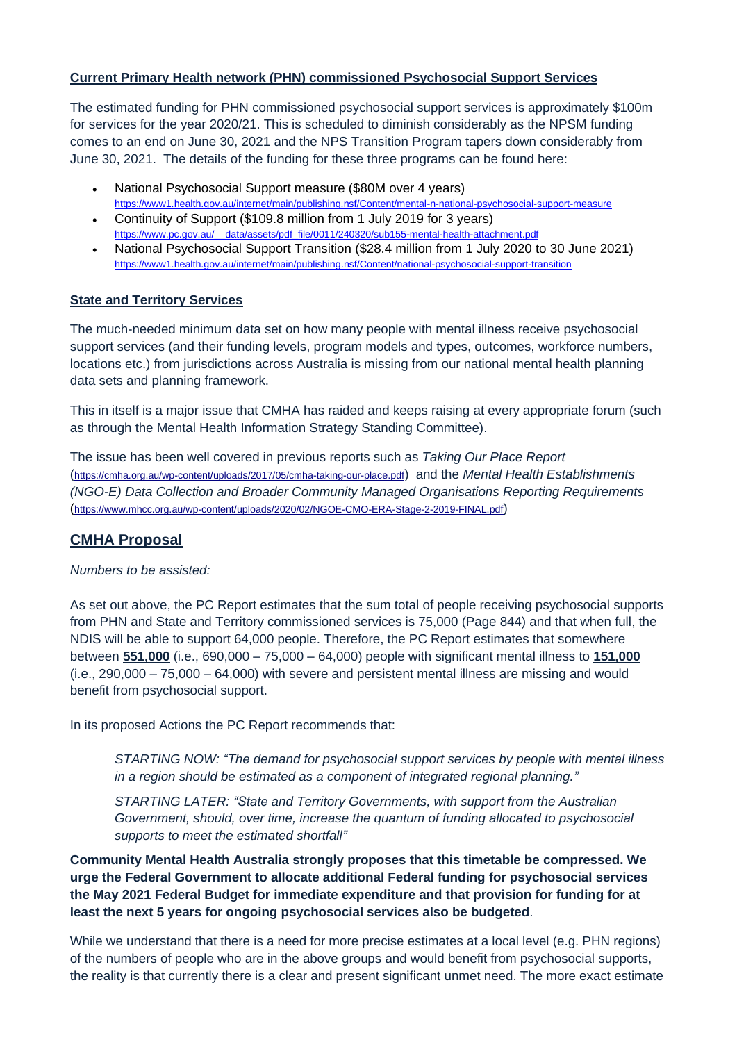#### **Current Primary Health network (PHN) commissioned Psychosocial Support Services**

The estimated funding for PHN commissioned psychosocial support services is approximately \$100m for services for the year 2020/21. This is scheduled to diminish considerably as the NPSM funding comes to an end on June 30, 2021 and the NPS Transition Program tapers down considerably from June 30, 2021. The details of the funding for these three programs can be found here:

- National Psychosocial Support measure (\$80M over 4 years) <https://www1.health.gov.au/internet/main/publishing.nsf/Content/mental-n-national-psychosocial-support-measure>
- Continuity of Support (\$109.8 million from 1 July 2019 for 3 years) [https://www.pc.gov.au/\\_\\_data/assets/pdf\\_file/0011/240320/sub155-mental-health-attachment.pdf](https://www.pc.gov.au/__data/assets/pdf_file/0011/240320/sub155-mental-health-attachment.pdf)
- National Psychosocial Support Transition (\$28.4 million from 1 July 2020 to 30 June 2021) <https://www1.health.gov.au/internet/main/publishing.nsf/Content/national-psychosocial-support-transition>

#### **State and Territory Services**

The much-needed minimum data set on how many people with mental illness receive psychosocial support services (and their funding levels, program models and types, outcomes, workforce numbers, locations etc.) from jurisdictions across Australia is missing from our national mental health planning data sets and planning framework.

This in itself is a major issue that CMHA has raided and keeps raising at every appropriate forum (such as through the Mental Health Information Strategy Standing Committee).

The issue has been well covered in previous reports such as *Taking Our Place Report* (<https://cmha.org.au/wp-content/uploads/2017/05/cmha-taking-our-place.pdf>) and the *Mental Health Establishments (NGO-E) Data Collection and Broader Community Managed Organisations Reporting Requirements* (<https://www.mhcc.org.au/wp-content/uploads/2020/02/NGOE-CMO-ERA-Stage-2-2019-FINAL.pdf>)

# **CMHA Proposal**

# *Numbers to be assisted:*

As set out above, the PC Report estimates that the sum total of people receiving psychosocial supports from PHN and State and Territory commissioned services is 75,000 (Page 844) and that when full, the NDIS will be able to support 64,000 people. Therefore, the PC Report estimates that somewhere between **551,000** (i.e., 690,000 – 75,000 – 64,000) people with significant mental illness to **151,000** (i.e., 290,000 – 75,000 – 64,000) with severe and persistent mental illness are missing and would benefit from psychosocial support.

In its proposed Actions the PC Report recommends that:

*STARTING NOW: "The demand for psychosocial support services by people with mental illness in a region should be estimated as a component of integrated regional planning."*

*STARTING LATER: "State and Territory Governments, with support from the Australian Government, should, over time, increase the quantum of funding allocated to psychosocial supports to meet the estimated shortfall"*

**Community Mental Health Australia strongly proposes that this timetable be compressed. We urge the Federal Government to allocate additional Federal funding for psychosocial services the May 2021 Federal Budget for immediate expenditure and that provision for funding for at least the next 5 years for ongoing psychosocial services also be budgeted**.

While we understand that there is a need for more precise estimates at a local level (e.g. PHN regions) of the numbers of people who are in the above groups and would benefit from psychosocial supports, the reality is that currently there is a clear and present significant unmet need. The more exact estimate